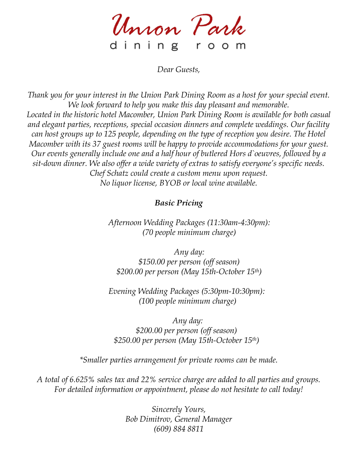Union Park dining room

*Dear Guests,*

*Thank you for your interest in the Union Park Dining Room as a host for your special event. We look forward to help you make this day pleasant and memorable. Located in the historic hotel Macomber, Union Park Dining Room is available for both casual and elegant parties, receptions, special occasion dinners and complete weddings. Our facility can host groups up to 125 people, depending on the type of reception you desire. The Hotel Macomber with its 37 guest rooms will be happy to provide accommodations for your guest. Our events generally include one and a half hour of butlered Hors d`oeuvres, followed by a sit-down dinner. We also offer a wide variety of extras to satisfy everyone's specific needs. Chef Schatz could create a custom menu upon request. No liquor license, BYOB or local wine available.*

# *Basic Pricing*

*Afternoon Wedding Packages (11:30am-4:30pm): (70 people minimum charge)*

*Any day: \$150.00 per person (off season) \$200.00 per person (May 15th-October 15th)*

*Evening Wedding Packages (5:30pm-10:30pm): (100 people minimum charge)*

*Any day: \$200.00 per person (off season) \$250.00 per person (May 15th-October 15th)*

*\*Smaller parties arrangement for private rooms can be made.*

*A total of 6.625% sales tax and 22% service charge are added to all parties and groups. For detailed information or appointment, please do not hesitate to call today!*

> *Sincerely Yours, Bob Dimitrov, General Manager (609) 884 8811*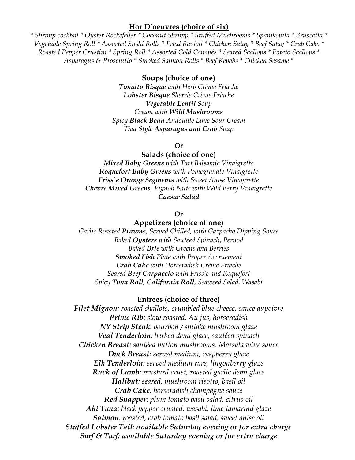## **Hor D'oeuvres (choice of six)**

*\* Shrimp cocktail \* Oyster Rockefeller \* Coconut Shrimp \* Stuffed Mushrooms \* Spanikopita \* Bruscetta \* Vegetable Spring Roll \* Assorted Sushi Rolls \* Fried Ravioli \* Chicken Satay \* Beef Satay \* Crab Cake \* Roasted Pepper Crustini \* Spring Roll \* Assorted Cold Canapés \* Seared Scallops \* Potato Scallops \* Asparagus & Prosciutto \* Smoked Salmon Rolls \* Beef Kebabs \* Chicken Sesame \**

## **Soups (choice of one)**

*Tomato Bisque with Herb Crème Friache Lobster Bisque Sherrie Crème Friache Vegetable Lentil Soup Cream with Wild Mushrooms Spicy Black Bean Andouille Lime Sour Cream Thai Style Asparagus and Crab Soup*

#### **Or**

## **Salads (choice of one)**

*Mixed Baby Greens with Tart Balsamic Vinaigrette Roquefort Baby Greens with Pomegranate Vinaigrette Friss`e Orange Segments with Sweet Anise Vinaigrette Chevre Mixed Greens, Pignoli Nuts with Wild Berry Vinaigrette Caesar Salad*

### **Or**

### **Appetizers (choice of one)**

*Garlic Roasted Prawns, Served Chilled, with Gazpacho Dipping Souse Baked Oysters with Sautéed Spinach*, *Pernod Baked Brie with Greens and Berries Smoked Fish Plate with Proper Accruement Crab Cake with Horseradish Crème Friache Seared Beef Carpaccio with Friss'e and Roquefort Spicy Tuna Roll, California Roll, Seaweed Salad, Wasabi*

#### **Entrees (choice of three)**

*Filet Mignon: roasted shallots, crumbled blue cheese, sauce aupoivre Prime Rib: slow roasted, Au jus, horseradish NY Strip Steak: bourbon / shitake mushroom glaze Veal Tenderloin: herbed demi glace, sautéed spinach Chicken Breast: sautéed button mushrooms, Marsala wine sauce Duck Breast: served medium, raspberry glaze Elk Tenderloin: served medium rare, lingonberry glaze Rack of Lamb: mustard crust, roasted garlic demi glace Halibut: seared, mushroom risotto, basil oil Crab Cake: horseradish champagne sauce Red Snapper: plum tomato basil salad, citrus oil Ahi Tuna: black pepper crusted, wasabi, lime tamarind glaze Salmon: roasted, crab tomato basil salad, sweet anise oil Stuffed Lobster Tail: available Saturday evening or for extra charge Surf & Turf: available Saturday evening or for extra charge*